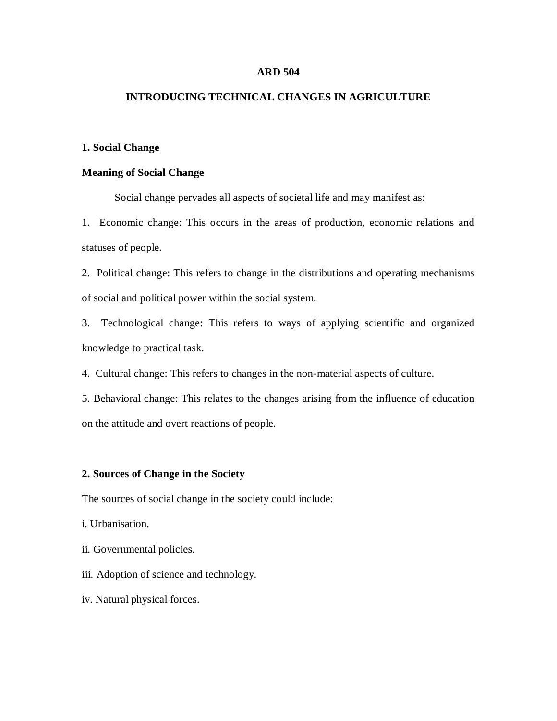#### **ARD 504**

# **INTRODUCING TECHNICAL CHANGES IN AGRICULTURE**

## **1. Social Change**

## **Meaning of Social Change**

Social change pervades all aspects of societal life and may manifest as:

1.Economic change: This occurs in the areas of production, economic relations and statuses of people.

2. Political change: This refers to change in the distributions and operating mechanisms of social and political power within the social system.

3. Technological change: This refers to ways of applying scientific and organized knowledge to practical task.

4. Cultural change: This refers to changes in the non-material aspects of culture.

5. Behavioral change: This relates to the changes arising from the influence of education on the attitude and overt reactions of people.

## **2. Sources of Change in the Society**

The sources of social change in the society could include:

- i. Urbanisation.
- ii. Governmental policies.
- iii. Adoption of science and technology.
- iv. Natural physical forces.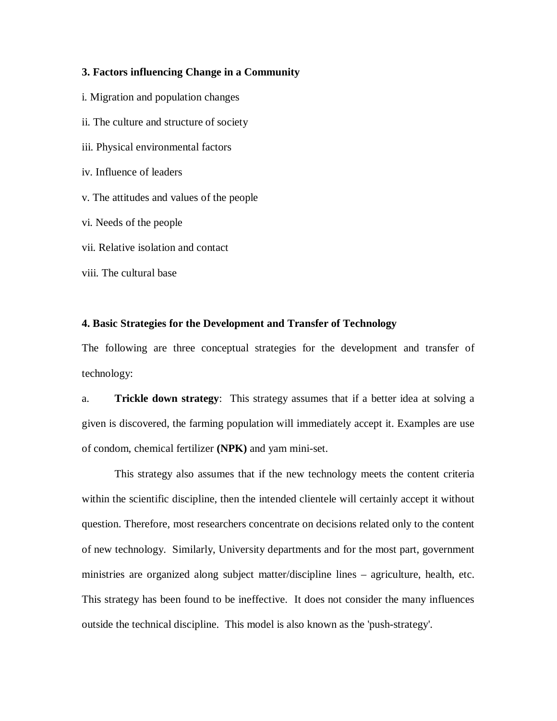# **3. Factors influencing Change in a Community**

- i. Migration and population changes
- ii. The culture and structure of society
- iii. Physical environmental factors
- iv. Influence of leaders

v. The attitudes and values of the people

vi. Needs of the people

vii. Relative isolation and contact

viii. The cultural base

#### **4. Basic Strategies for the Development and Transfer of Technology**

The following are three conceptual strategies for the development and transfer of technology:

a. **Trickle down strategy**: This strategy assumes that if a better idea at solving a given is discovered, the farming population will immediately accept it. Examples are use of condom, chemical fertilizer **(NPK)** and yam mini-set.

This strategy also assumes that if the new technology meets the content criteria within the scientific discipline, then the intended clientele will certainly accept it without question. Therefore, most researchers concentrate on decisions related only to the content of new technology. Similarly, University departments and for the most part, government ministries are organized along subject matter/discipline lines – agriculture, health, etc. This strategy has been found to be ineffective. It does not consider the many influences outside the technical discipline. This model is also known as the 'push-strategy'.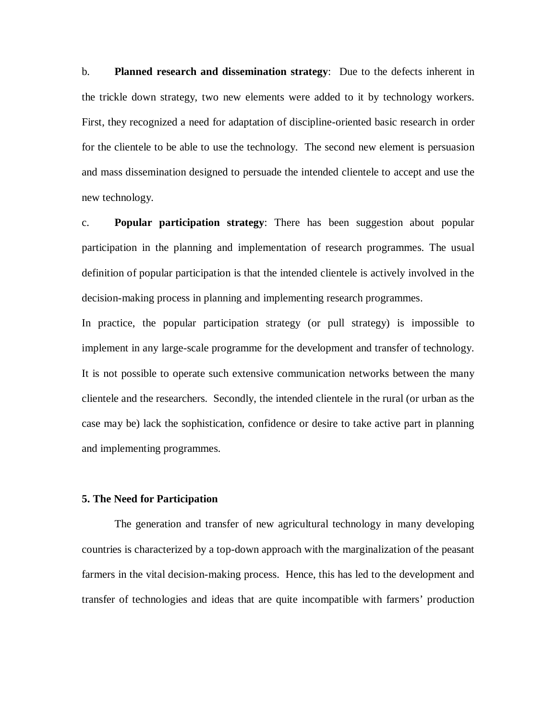b. **Planned research and dissemination strategy**: Due to the defects inherent in the trickle down strategy, two new elements were added to it by technology workers. First, they recognized a need for adaptation of discipline-oriented basic research in order for the clientele to be able to use the technology. The second new element is persuasion and mass dissemination designed to persuade the intended clientele to accept and use the new technology.

c. **Popular participation strategy**: There has been suggestion about popular participation in the planning and implementation of research programmes. The usual definition of popular participation is that the intended clientele is actively involved in the decision-making process in planning and implementing research programmes.

In practice, the popular participation strategy (or pull strategy) is impossible to implement in any large-scale programme for the development and transfer of technology. It is not possible to operate such extensive communication networks between the many clientele and the researchers. Secondly, the intended clientele in the rural (or urban as the case may be) lack the sophistication, confidence or desire to take active part in planning and implementing programmes.

#### **5. The Need for Participation**

The generation and transfer of new agricultural technology in many developing countries is characterized by a top-down approach with the marginalization of the peasant farmers in the vital decision-making process. Hence, this has led to the development and transfer of technologies and ideas that are quite incompatible with farmers' production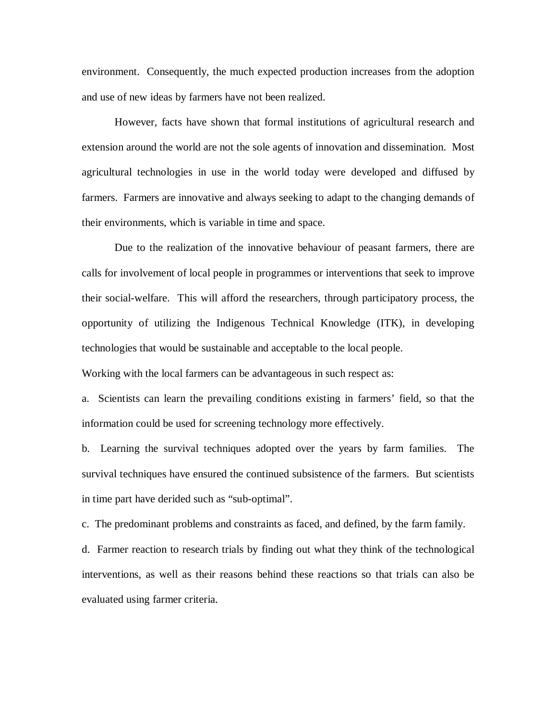environment. Consequently, the much expected production increases from the adoption and use of new ideas by farmers have not been realized.

However, facts have shown that formal institutions of agricultural research and extension around the world are not the sole agents of innovation and dissemination. Most agricultural technologies in use in the world today were developed and diffused by farmers. Farmers are innovative and always seeking to adapt to the changing demands of their environments, which is variable in time and space.

Due to the realization of the innovative behaviour of peasant farmers, there are calls for involvement of local people in programmes or interventions that seek to improve their social-welfare. This will afford the researchers, through participatory process, the opportunity of utilizing the Indigenous Technical Knowledge (ITK), in developing technologies that would be sustainable and acceptable to the local people.

Working with the local farmers can be advantageous in such respect as:

a. Scientists can learn the prevailing conditions existing in farmers' field, so that the information could be used for screening technology more effectively.

b. Learning the survival techniques adopted over the years by farm families. The survival techniques have ensured the continued subsistence of the farmers. But scientists in time part have derided such as "sub-optimal".

c. The predominant problems and constraints as faced, and defined, by the farm family.

d. Farmer reaction to research trials by finding out what they think of the technological interventions, as well as their reasons behind these reactions so that trials can also be evaluated using farmer criteria.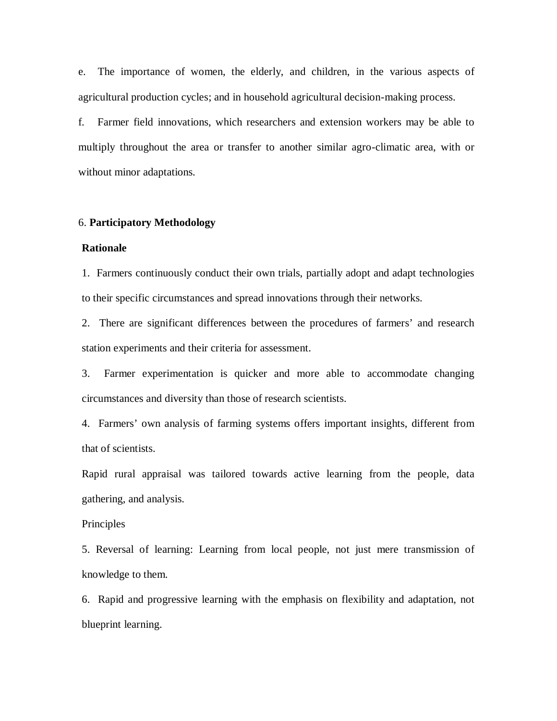e. The importance of women, the elderly, and children, in the various aspects of agricultural production cycles; and in household agricultural decision-making process.

f. Farmer field innovations, which researchers and extension workers may be able to multiply throughout the area or transfer to another similar agro-climatic area, with or without minor adaptations.

## 6. **Participatory Methodology**

## **Rationale**

1.Farmers continuously conduct their own trials, partially adopt and adapt technologies to their specific circumstances and spread innovations through their networks.

2.There are significant differences between the procedures of farmers' and research station experiments and their criteria for assessment.

3.Farmer experimentation is quicker and more able to accommodate changing circumstances and diversity than those of research scientists.

4.Farmers' own analysis of farming systems offers important insights, different from that of scientists.

Rapid rural appraisal was tailored towards active learning from the people, data gathering, and analysis.

# Principles

5. Reversal of learning: Learning from local people, not just mere transmission of knowledge to them.

6. Rapid and progressive learning with the emphasis on flexibility and adaptation, not blueprint learning.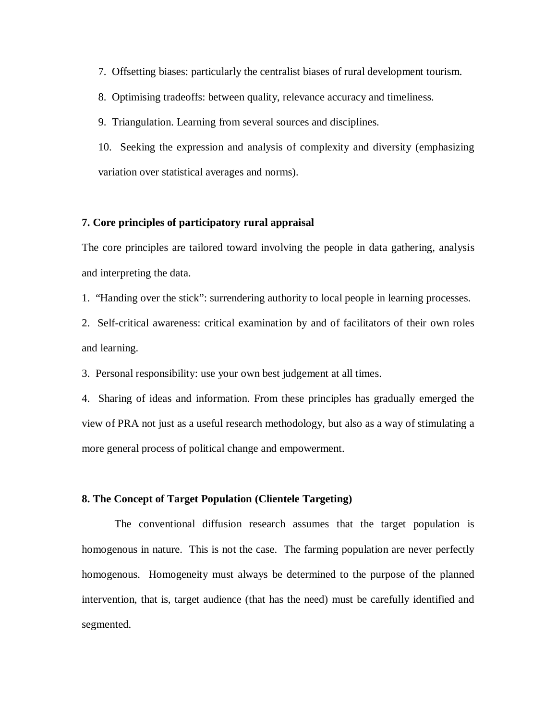7. Offsetting biases: particularly the centralist biases of rural development tourism.

8. Optimising tradeoffs: between quality, relevance accuracy and timeliness.

9. Triangulation. Learning from several sources and disciplines.

10. Seeking the expression and analysis of complexity and diversity (emphasizing variation over statistical averages and norms).

# **7. Core principles of participatory rural appraisal**

The core principles are tailored toward involving the people in data gathering, analysis and interpreting the data.

1. "Handing over the stick": surrendering authority to local people in learning processes.

2. Self-critical awareness: critical examination by and of facilitators of their own roles and learning.

3. Personal responsibility: use your own best judgement at all times.

4. Sharing of ideas and information. From these principles has gradually emerged the view of PRA not just as a useful research methodology, but also as a way of stimulating a more general process of political change and empowerment.

## **8. The Concept of Target Population (Clientele Targeting)**

The conventional diffusion research assumes that the target population is homogenous in nature. This is not the case. The farming population are never perfectly homogenous. Homogeneity must always be determined to the purpose of the planned intervention, that is, target audience (that has the need) must be carefully identified and segmented.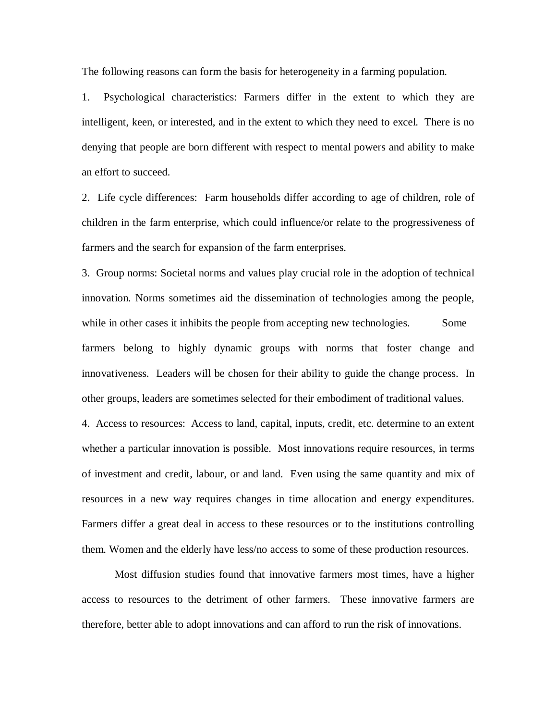The following reasons can form the basis for heterogeneity in a farming population.

1. Psychological characteristics: Farmers differ in the extent to which they are intelligent, keen, or interested, and in the extent to which they need to excel. There is no denying that people are born different with respect to mental powers and ability to make an effort to succeed.

2. Life cycle differences: Farm households differ according to age of children, role of children in the farm enterprise, which could influence/or relate to the progressiveness of farmers and the search for expansion of the farm enterprises.

3. Group norms: Societal norms and values play crucial role in the adoption of technical innovation. Norms sometimes aid the dissemination of technologies among the people, while in other cases it inhibits the people from accepting new technologies. Some farmers belong to highly dynamic groups with norms that foster change and innovativeness. Leaders will be chosen for their ability to guide the change process. In other groups, leaders are sometimes selected for their embodiment of traditional values.

4. Access to resources: Access to land, capital, inputs, credit, etc. determine to an extent whether a particular innovation is possible. Most innovations require resources, in terms of investment and credit, labour, or and land. Even using the same quantity and mix of resources in a new way requires changes in time allocation and energy expenditures. Farmers differ a great deal in access to these resources or to the institutions controlling them. Women and the elderly have less/no access to some of these production resources.

Most diffusion studies found that innovative farmers most times, have a higher access to resources to the detriment of other farmers. These innovative farmers are therefore, better able to adopt innovations and can afford to run the risk of innovations.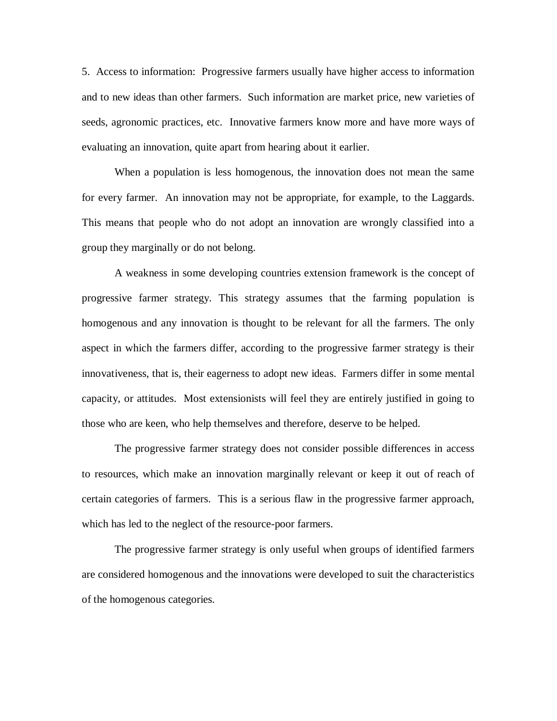5. Access to information: Progressive farmers usually have higher access to information and to new ideas than other farmers. Such information are market price, new varieties of seeds, agronomic practices, etc. Innovative farmers know more and have more ways of evaluating an innovation, quite apart from hearing about it earlier.

When a population is less homogenous, the innovation does not mean the same for every farmer. An innovation may not be appropriate, for example, to the Laggards. This means that people who do not adopt an innovation are wrongly classified into a group they marginally or do not belong.

A weakness in some developing countries extension framework is the concept of progressive farmer strategy. This strategy assumes that the farming population is homogenous and any innovation is thought to be relevant for all the farmers. The only aspect in which the farmers differ, according to the progressive farmer strategy is their innovativeness, that is, their eagerness to adopt new ideas. Farmers differ in some mental capacity, or attitudes. Most extensionists will feel they are entirely justified in going to those who are keen, who help themselves and therefore, deserve to be helped.

The progressive farmer strategy does not consider possible differences in access to resources, which make an innovation marginally relevant or keep it out of reach of certain categories of farmers. This is a serious flaw in the progressive farmer approach, which has led to the neglect of the resource-poor farmers.

The progressive farmer strategy is only useful when groups of identified farmers are considered homogenous and the innovations were developed to suit the characteristics of the homogenous categories.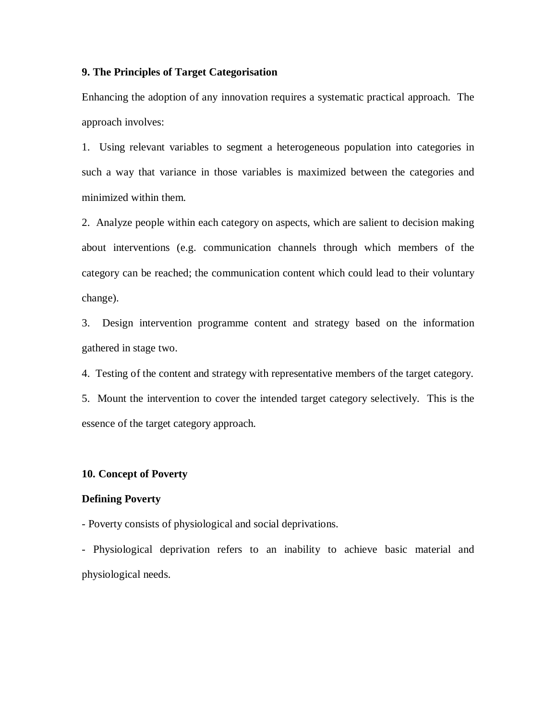# **9. The Principles of Target Categorisation**

Enhancing the adoption of any innovation requires a systematic practical approach. The approach involves:

1. Using relevant variables to segment a heterogeneous population into categories in such a way that variance in those variables is maximized between the categories and minimized within them.

2. Analyze people within each category on aspects, which are salient to decision making about interventions (e.g. communication channels through which members of the category can be reached; the communication content which could lead to their voluntary change).

3. Design intervention programme content and strategy based on the information gathered in stage two.

4. Testing of the content and strategy with representative members of the target category.

5. Mount the intervention to cover the intended target category selectively. This is the essence of the target category approach.

#### **10. Concept of Poverty**

#### **Defining Poverty**

- Poverty consists of physiological and social deprivations.

- Physiological deprivation refers to an inability to achieve basic material and physiological needs.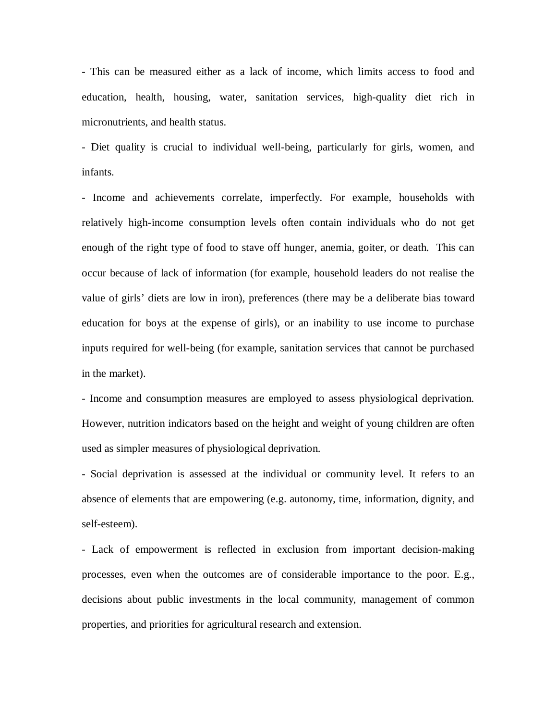- This can be measured either as a lack of income, which limits access to food and education, health, housing, water, sanitation services, high-quality diet rich in micronutrients, and health status.

- Diet quality is crucial to individual well-being, particularly for girls, women, and infants.

- Income and achievements correlate, imperfectly. For example, households with relatively high-income consumption levels often contain individuals who do not get enough of the right type of food to stave off hunger, anemia, goiter, or death. This can occur because of lack of information (for example, household leaders do not realise the value of girls' diets are low in iron), preferences (there may be a deliberate bias toward education for boys at the expense of girls), or an inability to use income to purchase inputs required for well-being (for example, sanitation services that cannot be purchased in the market).

- Income and consumption measures are employed to assess physiological deprivation. However, nutrition indicators based on the height and weight of young children are often used as simpler measures of physiological deprivation.

- Social deprivation is assessed at the individual or community level. It refers to an absence of elements that are empowering (e.g. autonomy, time, information, dignity, and self-esteem).

- Lack of empowerment is reflected in exclusion from important decision-making processes, even when the outcomes are of considerable importance to the poor. E.g., decisions about public investments in the local community, management of common properties, and priorities for agricultural research and extension.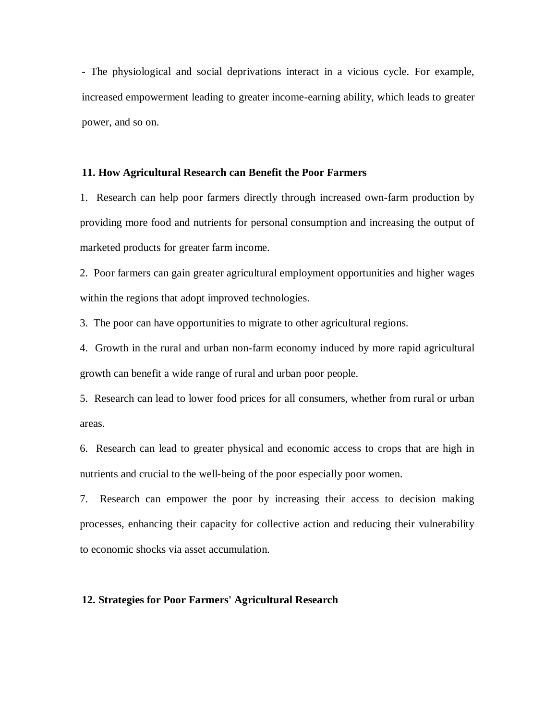- The physiological and social deprivations interact in a vicious cycle. For example, increased empowerment leading to greater income-earning ability, which leads to greater power, and so on.

# **11. How Agricultural Research can Benefit the Poor Farmers**

1. Research can help poor farmers directly through increased own-farm production by providing more food and nutrients for personal consumption and increasing the output of marketed products for greater farm income.

2. Poor farmers can gain greater agricultural employment opportunities and higher wages within the regions that adopt improved technologies.

3. The poor can have opportunities to migrate to other agricultural regions.

4. Growth in the rural and urban non-farm economy induced by more rapid agricultural growth can benefit a wide range of rural and urban poor people.

5. Research can lead to lower food prices for all consumers, whether from rural or urban areas.

6. Research can lead to greater physical and economic access to crops that are high in nutrients and crucial to the well-being of the poor especially poor women.

7. Research can empower the poor by increasing their access to decision making processes, enhancing their capacity for collective action and reducing their vulnerability to economic shocks via asset accumulation.

## **12. Strategies for Poor Farmers' Agricultural Research**